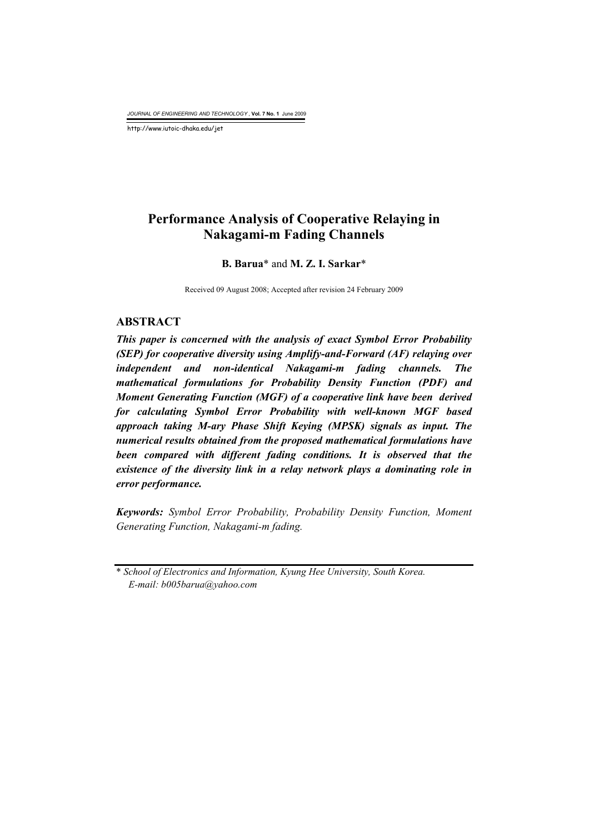*JOURNAL OF ENGINEERING AND TECHNOLOGY* , **Vol. 7 No. 1** June 2009

http://www.iutoic-dhaka.edu/jet

# **Performance Analysis of Cooperative Relaying in Nakagami-m Fading Channels**

#### **B. Barua**\* and **M. Z. I. Sarkar**\*

Received 09 August 2008; Accepted after revision 24 February 2009

#### **ABSTRACT**

*This paper is concerned with the analysis of exact Symbol Error Probability (SEP) for cooperative diversity using Amplify-and-Forward (AF) relaying over independent and non-identical Nakagami-m fading channels. The mathematical formulations for Probability Density Function (PDF) and Moment Generating Function (MGF) of a cooperative link have been derived for calculating Symbol Error Probability with well-known MGF based approach taking M-ary Phase Shift Keying (MPSK) signals as input. The numerical results obtained from the proposed mathematical formulations have been compared with different fading conditions. It is observed that the existence of the diversity link in a relay network plays a dominating role in error performance.* 

*Keywords: Symbol Error Probability, Probability Density Function, Moment Generating Function, Nakagami-m fading.* 

<sup>\*</sup> *School of Electronics and Information, Kyung Hee University, South Korea. E-mail: b005barua@yahoo.com*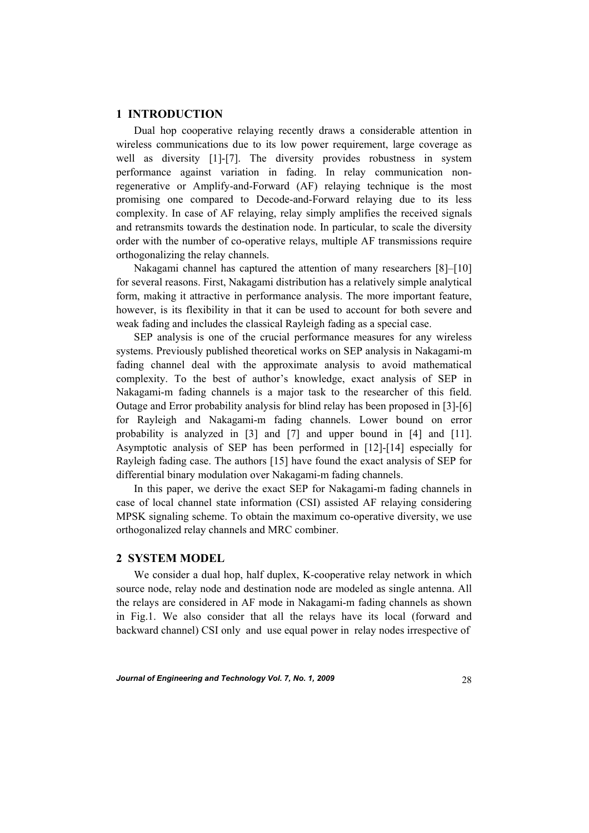### **1 INTRODUCTION**

Dual hop cooperative relaying recently draws a considerable attention in wireless communications due to its low power requirement, large coverage as well as diversity [1]-[7]. The diversity provides robustness in system performance against variation in fading. In relay communication nonregenerative or Amplify-and-Forward (AF) relaying technique is the most promising one compared to Decode-and-Forward relaying due to its less complexity. In case of AF relaying, relay simply amplifies the received signals and retransmits towards the destination node. In particular, to scale the diversity order with the number of co-operative relays, multiple AF transmissions require orthogonalizing the relay channels.

 Nakagami channel has captured the attention of many researchers [8]–[10] for several reasons. First, Nakagami distribution has a relatively simple analytical form, making it attractive in performance analysis. The more important feature, however, is its flexibility in that it can be used to account for both severe and weak fading and includes the classical Rayleigh fading as a special case.

 SEP analysis is one of the crucial performance measures for any wireless systems. Previously published theoretical works on SEP analysis in Nakagami-m fading channel deal with the approximate analysis to avoid mathematical complexity. To the best of author's knowledge, exact analysis of SEP in Nakagami-m fading channels is a major task to the researcher of this field. Outage and Error probability analysis for blind relay has been proposed in [3]-[6] for Rayleigh and Nakagami-m fading channels. Lower bound on error probability is analyzed in [3] and [7] and upper bound in [4] and [11]. Asymptotic analysis of SEP has been performed in [12]-[14] especially for Rayleigh fading case. The authors [15] have found the exact analysis of SEP for differential binary modulation over Nakagami-m fading channels.

 In this paper, we derive the exact SEP for Nakagami-m fading channels in case of local channel state information (CSI) assisted AF relaying considering MPSK signaling scheme. To obtain the maximum co-operative diversity, we use orthogonalized relay channels and MRC combiner.

### **2 SYSTEM MODEL**

 We consider a dual hop, half duplex, K-cooperative relay network in which source node, relay node and destination node are modeled as single antenna. All the relays are considered in AF mode in Nakagami-m fading channels as shown in Fig.1. We also consider that all the relays have its local (forward and backward channel) CSI only and use equal power in relay nodes irrespective of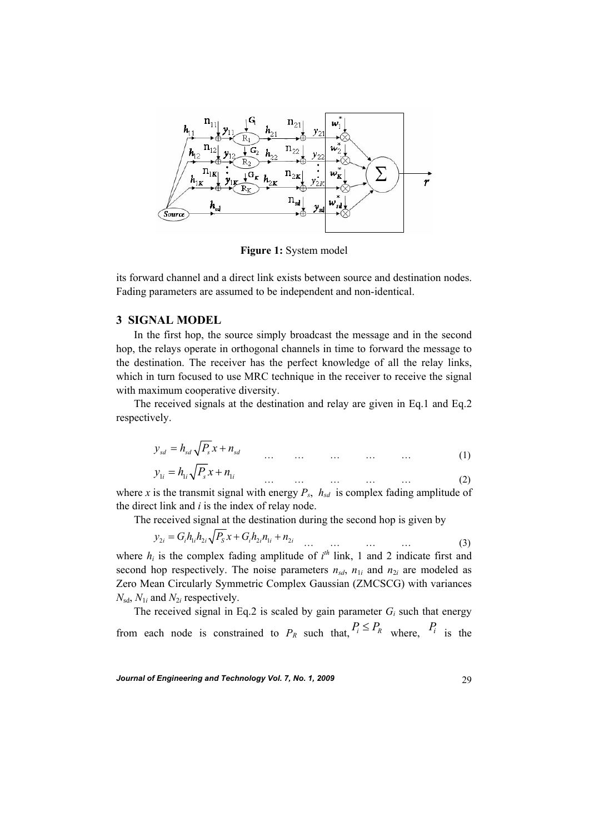

**Figure 1:** System model

its forward channel and a direct link exists between source and destination nodes. Fading parameters are assumed to be independent and non-identical.

# **3 SIGNAL MODEL**

In the first hop, the source simply broadcast the message and in the second hop, the relays operate in orthogonal channels in time to forward the message to the destination. The receiver has the perfect knowledge of all the relay links, which in turn focused to use MRC technique in the receiver to receive the signal with maximum cooperative diversity.

 The received signals at the destination and relay are given in Eq.1 and Eq.2 respectively.

$$
y_{sd} = h_{sd} \sqrt{P_s} x + n_{sd} \qquad \dots \qquad \dots \qquad \dots \qquad \dots \qquad (1)
$$

$$
y_{1i} = h_{1i} \sqrt{P_s x + n_{1i}}
$$
 ... ... ... ... ... ... (2)

where *x* is the transmit signal with energy  $P_s$ ,  $h_{sd}$  is complex fading amplitude of the direct link and *i* is the index of relay node.

The received signal at the destination during the second hop is given by

$$
y_{2i} = G_i h_{1i} h_{2i} \sqrt{P_s x + G_i h_{2i} n_{1i} + n_{2i}} \qquad \dots \qquad \dots \qquad \dots \qquad \dots \qquad (3)
$$

where  $h_i$  is the complex fading amplitude of  $i^h$  link, 1 and 2 indicate first and second hop respectively. The noise parameters  $n_{sd}$ ,  $n_{1i}$  and  $n_{2i}$  are modeled as Zero Mean Circularly Symmetric Complex Gaussian (ZMCSCG) with variances  $N_{sd}$ ,  $N_{1i}$  and  $N_{2i}$  respectively.

The received signal in Eq.2 is scaled by gain parameter  $G_i$  such that energy from each node is constrained to  $P_R$  such that,  $P_i \leq P_R$  where,  $P_i$  is the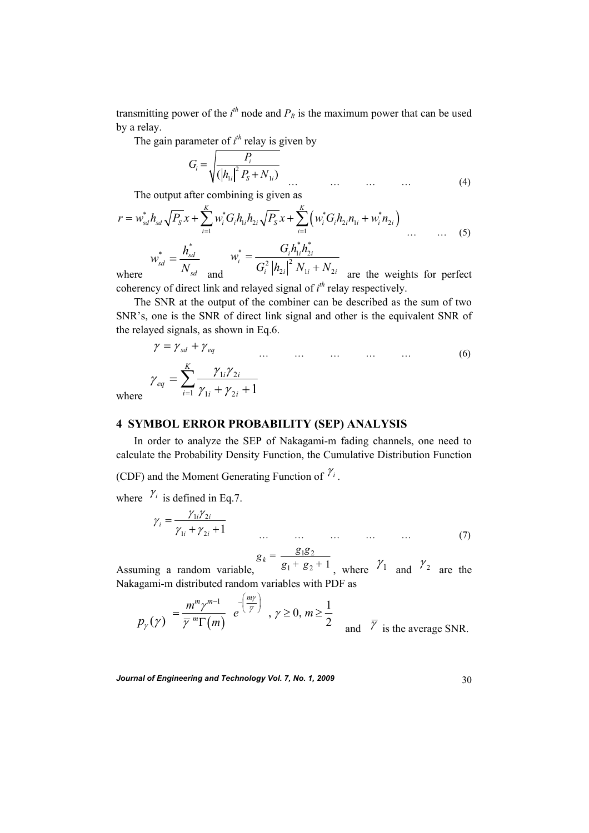transmitting power of the  $i<sup>th</sup>$  node and  $P<sub>R</sub>$  is the maximum power that can be used by a relay.

The gain parameter of  $i^{th}$  relay is given by

$$
G_i = \sqrt{\frac{P_i}{(|h_{1i}|^2 P_S + N_{1i})}}
$$
 (4)

The output after combining is given as

$$
r = w_{sd}^* h_{sd} \sqrt{P_s} x + \sum_{i=1}^K w_i^* G_i h_{1i} h_{2i} \sqrt{P_s} x + \sum_{i=1}^K \left( w_i^* G_i h_{2i} n_{1i} + w_i^* n_{2i} \right)
$$
  
 
$$
w_{sd}^* h_{sd}^* h_{3i}^* = G_i h_{1i}^* h_{2i}^*
$$
 (5)

 $\frac{d}{s}$ <sub>sd</sub> =  $\frac{n_{sd}}{N}$ *sd h w*  $N_{sd}$  and  $2 | \mathbf{L} |^2$  $\sum_{i}^{*} = \frac{G_{i}^{2} |h_{1i}h_{2i}|}{G_{i}^{2} |h_{2i}|^{2} N_{1i} + N_{2i}}$ *i*  $\binom{n}{2i}$  <sup>*i*</sup>  $\binom{n}{1i}$  <sup>*i*</sup>  $\binom{n}{2i}$  $w_i^* = \frac{G_i h_{1i}^* h_i}{r^2}$  $G_i^2 |h_{2i}|^2 N_{1i} + N_{2i}$  are the weights for perfect

where coherency of direct link and relayed signal of  $i<sup>th</sup>$  relay respectively.

 The SNR at the output of the combiner can be described as the sum of two SNR's, one is the SNR of direct link signal and other is the equivalent SNR of the relayed signals, as shown in Eq.6.

$$
\gamma = \gamma_{sd} + \gamma_{eq} \qquad \dots \qquad \dots \qquad \dots \qquad \dots \qquad (6)
$$

$$
\gamma_{eq} = \sum_{i=1}^{K} \frac{\gamma_{1i}\gamma_{2i}}{\gamma_{1i} + \gamma_{2i} + 1}
$$

where

# **4 SYMBOL ERROR PROBABILITY (SEP) ANALYSIS**

 In order to analyze the SEP of Nakagami-m fading channels, one need to calculate the Probability Density Function, the Cumulative Distribution Function

(CDF) and the Moment Generating Function of  $\gamma_i$ .

where  $\gamma_i$  is defined in Eq.7.

$$
\gamma_i = \frac{\gamma_{1i}\gamma_{2i}}{\gamma_{1i} + \gamma_{2i} + 1} \tag{7}
$$

$$
g_k = \frac{g_1 g_2}{g_1 + g_2 + 1}
$$
, where  $\gamma_1$  and  $\gamma_2$  are the

Assuming a random variable, Nakagami-m distributed random variables with PDF as

$$
p_{\gamma}(\gamma) = \frac{m^m \gamma^{m-1}}{\overline{\gamma}^m \Gamma(m)} e^{-\left(\frac{m\gamma}{\overline{\gamma}}\right)}, \ \gamma \ge 0, \ m \ge \frac{1}{2} \quad \text{and} \quad \overline{\gamma} \text{ is the average SNR.}
$$

Journal of Engineering and Technology Vol. 7, No. 1, 2009 **30 120 120 120 130 130 130 130**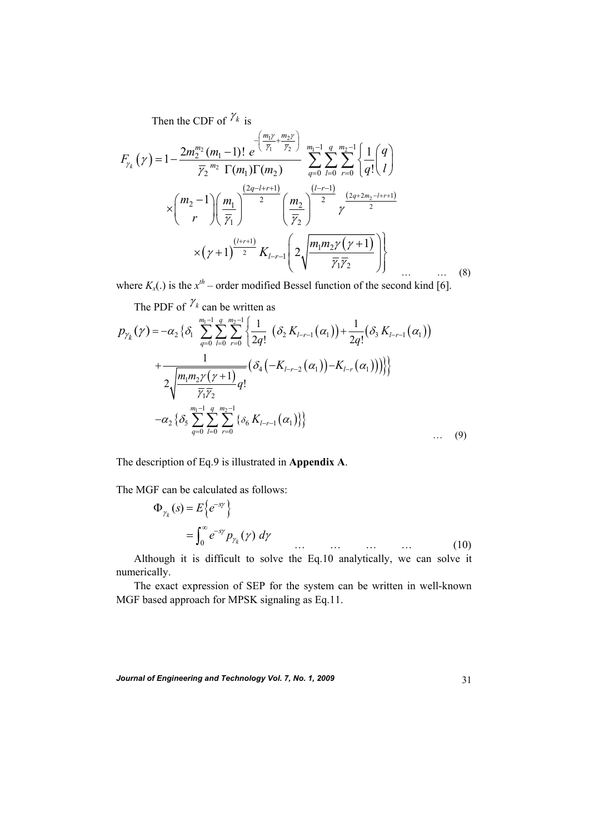Then the CDF of  $\mathcal{V}_k$  is

$$
F_{\gamma_k}(\gamma) = 1 - \frac{2m_2^{m_2}(m_1 - 1)! \, e^{-\left(\frac{m_1\gamma}{\overline{\gamma}_1} + \frac{m_2\gamma}{\overline{\gamma}_2}\right)}}{\overline{\gamma}_2^{m_2} \, \Gamma(m_1) \Gamma(m_2)} \sum_{q=0}^{m_1-1} \sum_{l=0}^q \sum_{r=0}^{m_2-1} \left\{ \frac{1}{q!} {q \choose l} \right\}
$$

$$
\times {m_2 - 1 \choose r} \left( \frac{m_1}{\overline{\gamma}_1} \right)^{\frac{(2q-l+r+1)}{2}} \left( \frac{m_2}{\overline{\gamma}_2} \right)^{\frac{(l-r-1)}{2}} \gamma^{\frac{(2q+2m_2-l+r+1)}{2}}
$$

$$
\times (\gamma + 1)^{\frac{(l+r+1)}{2}} K_{l-r-1} \left( 2 \sqrt{\frac{m_1 m_2 \gamma(\gamma + 1)}{\overline{\gamma}_1 \overline{\gamma}_2}} \right) \}
$$

where  $K_x$ .) is the  $x^{th}$  – order modified Bessel function of the second kind [6].

The PDF of 
$$
\gamma_k
$$
 can be written as  
\n
$$
p_{\gamma_k}(\gamma) = -\alpha_2 \left\{ \delta_1 \sum_{q=0}^{m_1-1} \sum_{r=0}^{q} \sum_{r=0}^{m_2-1} \left\{ \frac{1}{2q!} \left( \delta_2 K_{l-r-1}(\alpha_1) \right) + \frac{1}{2q!} (\delta_3 K_{l-r-1}(\alpha_1) \right) + \frac{1}{2\sqrt{\frac{m_1 m_2 \gamma(\gamma + 1)}{\overline{\gamma_1} \overline{\gamma_2}}} \left( \delta_4 \left( -K_{l-r-2}(\alpha_1) \right) - K_{l-r}(\alpha_1) \right) \right\}
$$
\n
$$
+ \frac{1}{2\sqrt{\frac{m_1 m_2 \gamma(\gamma + 1)}{\overline{\gamma_1} \overline{\gamma_2}}} q!} \left\{ \delta_4 \left( -K_{l-r-2}(\alpha_1) \right) - K_{l-r}(\alpha_1) \right\}
$$
\n
$$
- \alpha_2 \left\{ \delta_5 \sum_{q=0}^{m_1-1} \sum_{l=0}^{q} \sum_{r=0}^{m_2-1} \left\{ \delta_6 K_{l-r-1}(\alpha_1) \right\} \right\}
$$
\n(9)

The description of Eq.9 is illustrated in **Appendix A**.

The MGF can be calculated as follows:

$$
\Phi_{\gamma_k}(s) = E\left\{e^{-s\gamma}\right\}
$$
  
= 
$$
\int_0^\infty e^{-s\gamma} p_{\gamma_k}(\gamma) d\gamma
$$
 ... ... ... (10)

 Although it is difficult to solve the Eq.10 analytically, we can solve it numerically.

 The exact expression of SEP for the system can be written in well-known MGF based approach for MPSK signaling as Eq.11.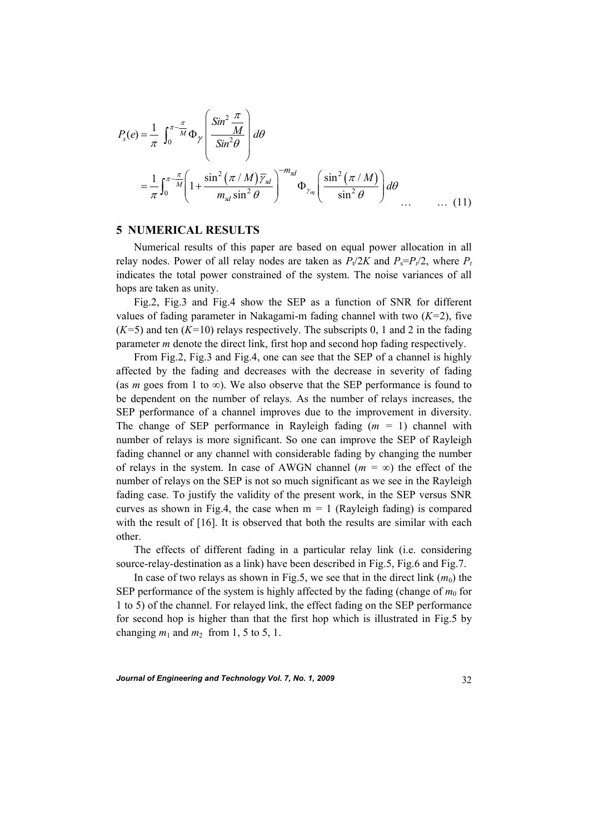$$
P_s(e) = \frac{1}{\pi} \int_0^{\pi - \frac{\pi}{M}} \Phi_{\gamma} \left( \frac{\sin^2 \frac{\pi}{M}}{\sin^2 \theta} \right) d\theta
$$
  

$$
= \frac{1}{\pi} \int_0^{\pi - \frac{\pi}{M}} \left( 1 + \frac{\sin^2 (\pi / M) \overline{\gamma}_{sd}}{m_{sd} \sin^2 \theta} \right)^{-m_{sd}} \Phi_{\gamma_{eq}} \left( \frac{\sin^2 (\pi / M)}{\sin^2 \theta} \right) d\theta
$$
...(11)

#### **5 NUMERICAL RESULTS**

 Numerical results of this paper are based on equal power allocation in all relay nodes. Power of all relay nodes are taken as  $P_t/2K$  and  $P_s = P_t/2$ , where  $P_t$ indicates the total power constrained of the system. The noise variances of all hops are taken as unity.

 Fig.2, Fig.3 and Fig.4 show the SEP as a function of SNR for different values of fading parameter in Nakagami-m fading channel with two (*K=*2), five (*K=*5) and ten (*K=*10) relays respectively. The subscripts 0, 1 and 2 in the fading parameter *m* denote the direct link, first hop and second hop fading respectively.

 From Fig.2, Fig.3 and Fig.4, one can see that the SEP of a channel is highly affected by the fading and decreases with the decrease in severity of fading (as *m* goes from 1 to  $\infty$ ). We also observe that the SEP performance is found to be dependent on the number of relays. As the number of relays increases, the SEP performance of a channel improves due to the improvement in diversity. The change of SEP performance in Rayleigh fading  $(m = 1)$  channel with number of relays is more significant. So one can improve the SEP of Rayleigh fading channel or any channel with considerable fading by changing the number of relays in the system. In case of AWGN channel  $(m = \infty)$  the effect of the number of relays on the SEP is not so much significant as we see in the Rayleigh fading case. To justify the validity of the present work, in the SEP versus SNR curves as shown in Fig.4, the case when  $m = 1$  (Rayleigh fading) is compared with the result of [16]. It is observed that both the results are similar with each other.

 The effects of different fading in a particular relay link (i.e. considering source-relay-destination as a link) have been described in Fig.5, Fig.6 and Fig.7.

In case of two relays as shown in Fig.5, we see that in the direct link  $(m_0)$  the SEP performance of the system is highly affected by the fading (change of  $m_0$  for 1 to 5) of the channel. For relayed link, the effect fading on the SEP performance for second hop is higher than that the first hop which is illustrated in Fig.5 by changing  $m_1$  and  $m_2$  from 1, 5 to 5, 1.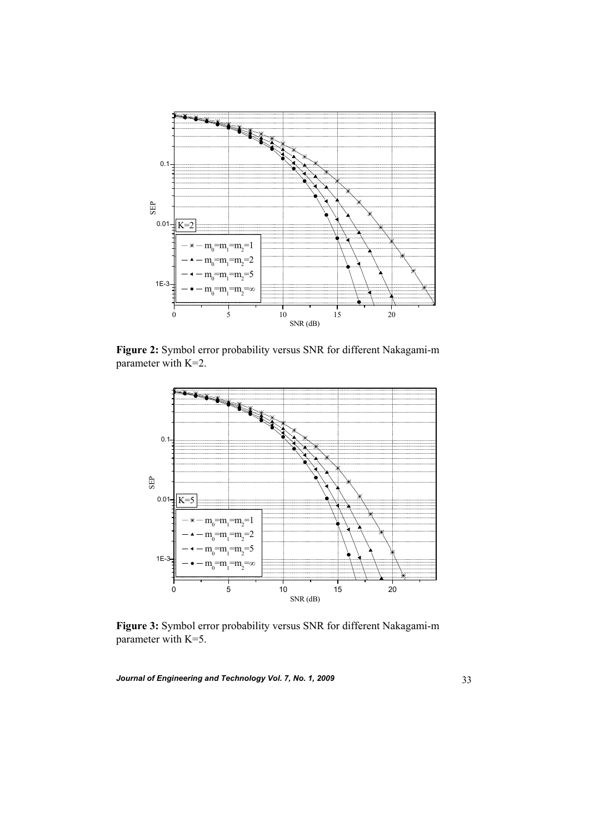

**Figure 2:** Symbol error probability versus SNR for different Nakagami-m parameter with K=2.



**Figure 3:** Symbol error probability versus SNR for different Nakagami-m parameter with K=5.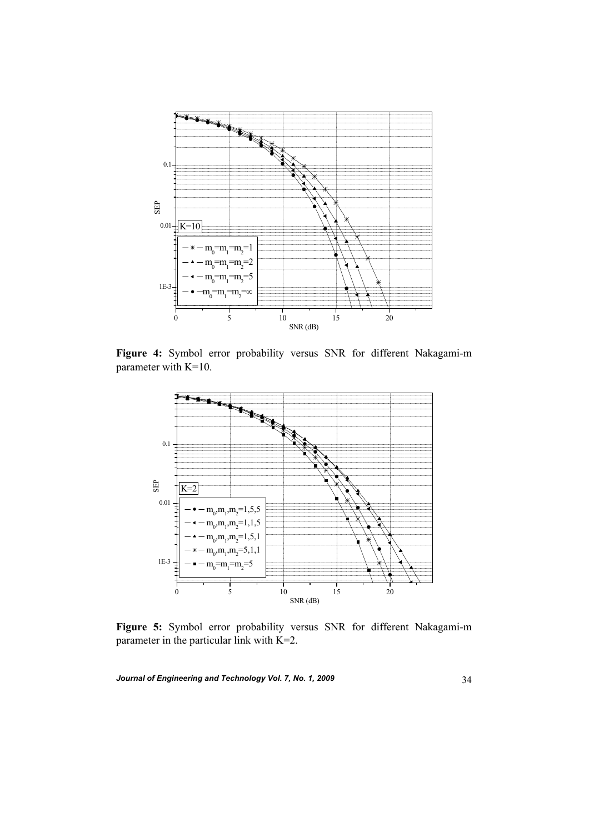

**Figure 4:** Symbol error probability versus SNR for different Nakagami-m parameter with K=10.



**Figure 5:** Symbol error probability versus SNR for different Nakagami-m parameter in the particular link with K=2.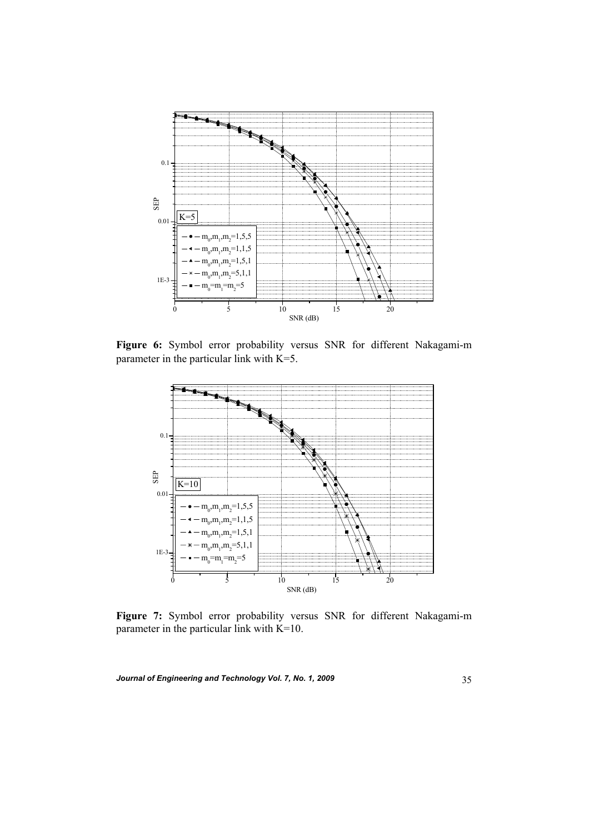

**Figure 6:** Symbol error probability versus SNR for different Nakagami-m parameter in the particular link with K=5.



**Figure 7:** Symbol error probability versus SNR for different Nakagami-m parameter in the particular link with  $K=10$ .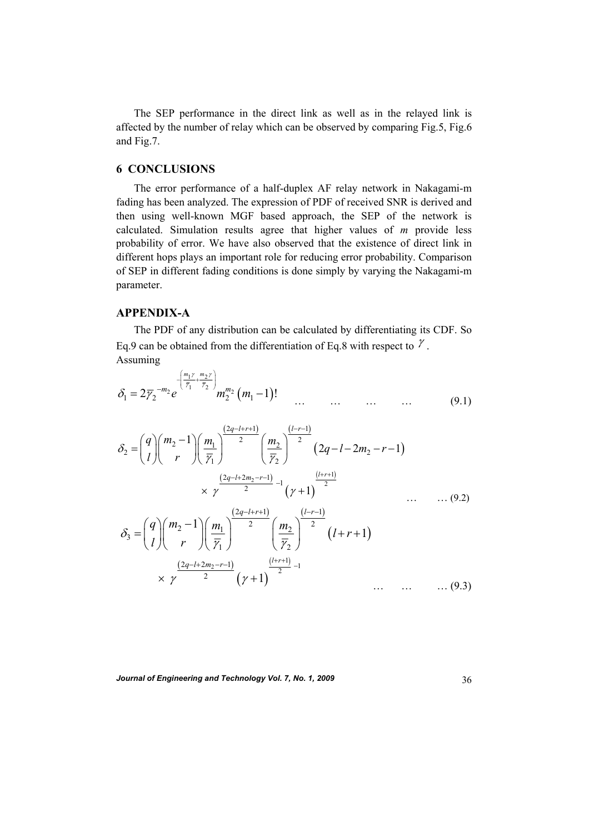The SEP performance in the direct link as well as in the relayed link is affected by the number of relay which can be observed by comparing Fig.5, Fig.6 and Fig.7.

### **6 CONCLUSIONS**

 The error performance of a half-duplex AF relay network in Nakagami-m fading has been analyzed. The expression of PDF of received SNR is derived and then using well-known MGF based approach, the SEP of the network is calculated. Simulation results agree that higher values of *m* provide less probability of error. We have also observed that the existence of direct link in different hops plays an important role for reducing error probability. Comparison of SEP in different fading conditions is done simply by varying the Nakagami-m parameter.

# **APPENDIX-A**

 The PDF of any distribution can be calculated by differentiating its CDF. So Eq.9 can be obtained from the differentiation of Eq.8 with respect to  $\gamma$ . Assuming

$$
\delta_1 = 2\overline{y}_2^{-m_2} e^{-\left(\frac{m_1 y}{\overline{y}_1} + \frac{m_2 y}{\overline{y}_2}\right)} m_2^{m_2} (m_1 - 1)!
$$
 ... ... ... ... (9.1)

$$
\delta_2 = {q \choose l} {m_2 - 1 \choose r} \left(\frac{m_1}{\overline{r}_1}\right)^{\frac{(2q-l+r+1)}{2}} \left(\frac{m_2}{\overline{r}_2}\right)^{\frac{(l-r-1)}{2}} (2q - l - 2m_2 - r - 1)
$$
  

$$
\times \gamma^{\frac{(2q-l+2m_2-r-1)}{2}} ( \gamma + 1)^{\frac{(l+r+1)}{2}}
$$
... (9.2)

$$
\delta_3 = {q \choose l} {m_2 - 1 \choose r} \left(\frac{m_1}{\overline{r}_1}\right)^{-2} \left(\frac{m_2}{\overline{r}_2}\right)^{-2} (l + r + 1)
$$
  
 
$$
\times \gamma \frac{(2q - l + 2m_2 - r - 1)}{2} (\gamma + 1)^{\frac{(l + r + 1)}{2} - 1} \dots \dots \dots \dots (9.3)
$$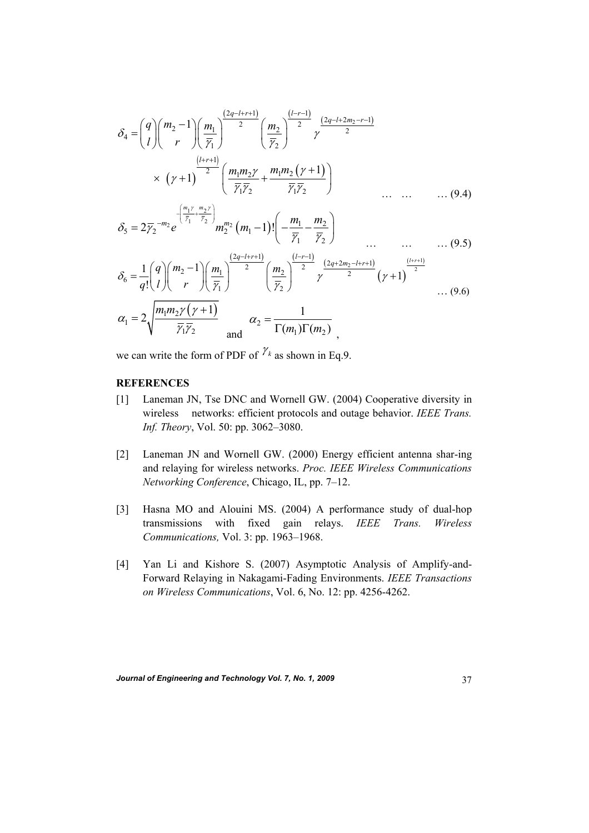$$
\delta_4 = {q \choose l} {m_2 - 1 \choose r} \left(\frac{m_1}{\overline{r}_1}\right)^{\frac{(2q-l+r+1)}{2}} \left(\frac{m_2}{\overline{r}_2}\right)^{\frac{(l-r-1)}{2}} \gamma^{\frac{(2q-l+2m_2-r-1)}{2}}
$$
  
×  $(\gamma + 1)^{\frac{(l+r+1)}{2}} \left(\frac{m_1m_2\gamma}{\overline{r}_1\overline{r}_2} + \frac{m_1m_2(\gamma + 1)}{\overline{r}_1\overline{r}_2}\right)$  ... .... (9.4)

$$
\delta_5 = 2\overline{\gamma}_2^{-m_2} e^{-\frac{m_1 r}{\overline{\gamma}_1} + \frac{m_2 r}{\overline{\gamma}_2}} m_2^{m_2} (m_1 - 1)! \left( -\frac{m_1}{\overline{\gamma}_1} - \frac{m_2}{\overline{\gamma}_2} \right) \qquad \qquad \dots \qquad \dots \qquad \dots \qquad (9.5)
$$

$$
\delta_6 = \frac{1}{q!} {q \choose l} {m_2 - 1 \choose r} \left( \frac{m_1}{\overline{r}_1} \right)^{\frac{(2q-l+r+1)}{2}} \left( \frac{m_2}{\overline{r}_2} \right)^{\frac{(l-r-1)}{2}} \gamma^{\frac{(2q+2m_2-l+r+1)}{2}} (\gamma + 1)^{\frac{(l+r+1)}{2}}
$$
  
\n
$$
\alpha_1 = 2 \sqrt{\frac{m_1 m_2 \gamma (\gamma + 1)}{\overline{r}_1 \overline{r}_2}}
$$
 and  $\alpha_2 = \frac{1}{\Gamma(m_1) \Gamma(m_2)}$ 

we can write the form of PDF of  $\gamma_k$  as shown in Eq.9.

#### **REFERENCES**

- [1] Laneman JN, Tse DNC and Wornell GW. (2004) Cooperative diversity in wireless networks: efficient protocols and outage behavior. *IEEE Trans. Inf. Theory*, Vol. 50: pp. 3062–3080.
- [2] Laneman JN and Wornell GW. (2000) Energy efficient antenna shar-ing and relaying for wireless networks. *Proc. IEEE Wireless Communications Networking Conference*, Chicago, IL, pp. 7–12.
- [3] Hasna MO and Alouini MS. (2004) A performance study of dual-hop transmissions with fixed gain relays. *IEEE Trans. Wireless Communications,* Vol. 3: pp. 1963–1968.
- [4] Yan Li and Kishore S. (2007) Asymptotic Analysis of Amplify-and-Forward Relaying in Nakagami-Fading Environments. *IEEE Transactions on Wireless Communications*, Vol. 6, No. 12: pp. 4256-4262.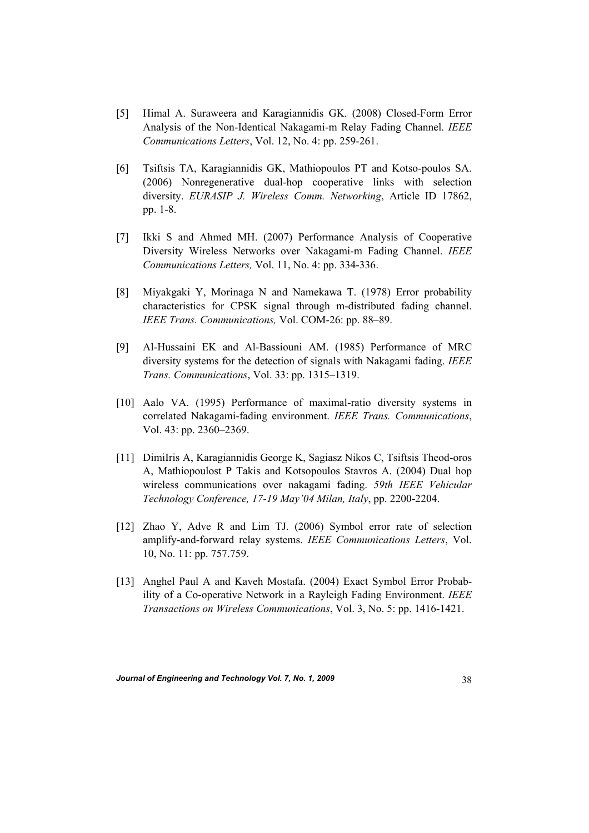- [5] Himal A. Suraweera and Karagiannidis GK. (2008) Closed-Form Error Analysis of the Non-Identical Nakagami-m Relay Fading Channel. *IEEE Communications Letters*, Vol. 12, No. 4: pp. 259-261.
- [6] Tsiftsis TA, Karagiannidis GK, Mathiopoulos PT and Kotso-poulos SA. (2006) Nonregenerative dual-hop cooperative links with selection diversity. *EURASIP J. Wireless Comm. Networking*, Article ID 17862, pp. 1-8.
- [7] Ikki S and Ahmed MH. (2007) Performance Analysis of Cooperative Diversity Wireless Networks over Nakagami-m Fading Channel. *IEEE Communications Letters,* Vol. 11, No. 4: pp. 334-336.
- [8] Miyakgaki Y, Morinaga N and Namekawa T. (1978) Error probability characteristics for CPSK signal through m-distributed fading channel. *IEEE Trans. Communications,* Vol. COM-26: pp. 88–89.
- [9] Al-Hussaini EK and Al-Bassiouni AM. (1985) Performance of MRC diversity systems for the detection of signals with Nakagami fading. *IEEE Trans. Communications*, Vol. 33: pp. 1315–1319.
- [10] Aalo VA. (1995) Performance of maximal-ratio diversity systems in correlated Nakagami-fading environment. *IEEE Trans. Communications*, Vol. 43: pp. 2360–2369.
- [11] DimiIris A, Karagiannidis George K, Sagiasz Nikos C, Tsiftsis Theod-oros A, Mathiopoulost P Takis and Kotsopoulos Stavros A. (2004) Dual hop wireless communications over nakagami fading. *59th IEEE Vehicular Technology Conference, 17-19 May'04 Milan, Italy*, pp. 2200-2204.
- [12] Zhao Y, Adve R and Lim TJ. (2006) Symbol error rate of selection amplify-and-forward relay systems. *IEEE Communications Letters*, Vol. 10, No. 11: pp. 757.759.
- [13] Anghel Paul A and Kaveh Mostafa. (2004) Exact Symbol Error Probability of a Co-operative Network in a Rayleigh Fading Environment. *IEEE Transactions on Wireless Communications*, Vol. 3, No. 5: pp. 1416-1421.